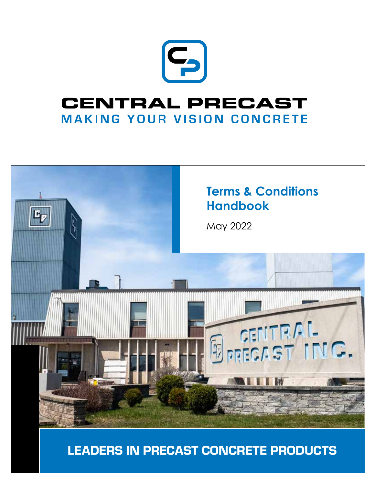

## **CENTRAL PRECAST MAKING YOUR VISION CONCRETE**



LEADERS IN PRECAST CONCRETE PRODUCTS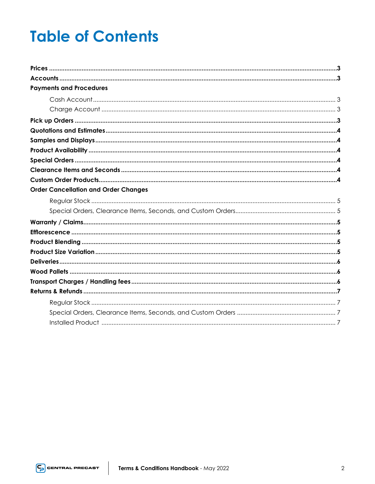## **Table of Contents**

| <b>Payments and Procedures</b>              |  |
|---------------------------------------------|--|
|                                             |  |
|                                             |  |
|                                             |  |
|                                             |  |
|                                             |  |
|                                             |  |
|                                             |  |
|                                             |  |
|                                             |  |
| <b>Order Cancellation and Order Changes</b> |  |
|                                             |  |
|                                             |  |
|                                             |  |
|                                             |  |
|                                             |  |
|                                             |  |
|                                             |  |
|                                             |  |
|                                             |  |
|                                             |  |
|                                             |  |
|                                             |  |
|                                             |  |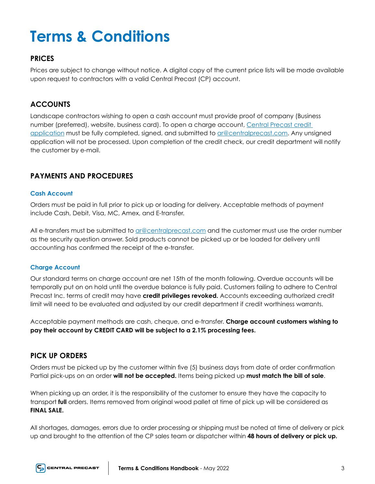# **Terms & Conditions**

## **PRICES**

Prices are subject to change without notice. A digital copy of the current price lists will be made available upon request to contractors with a valid Central Precast (CP) account.

## **ACCOUNTS**

Landscape contractors wishing to open a cash account must provide proof of company (Business number (preferred), website, business card). To open a charge account, Central Precast credit application must be fully completed, signed, and submitted to ar@centralprecast.com. Any unsigned application will not be processed. Upon completion of the credit check, our credit department will notify the customer by e-mail.

## **PAYMENTS AND PROCEDURES**

#### **Cash Account**

Orders must be paid in full prior to pick up or loading for delivery. Acceptable methods of payment include Cash, Debit, Visa, MC, Amex, and E-transfer.

All e-transfers must be submitted to ar@centralprecast.com and the customer must use the order number as the security question answer. Sold products cannot be picked up or be loaded for delivery until accounting has confirmed the receipt of the e-transfer.

#### **Charge Account**

Our standard terms on charge account are net 15th of the month following. Overdue accounts will be temporally put on on hold until the overdue balance is fully paid. Customers failing to adhere to Central Precast Inc. terms of credit may have **credit privileges revoked.** Accounts exceeding authorized credit limit will need to be evaluated and adjusted by our credit department if credit worthiness warrants.

Acceptable payment methods are cash, cheque, and e-transfer. **Charge account customers wishing to pay their account by CREDIT CARD will be subject to a 2.1% processing fees.**

## **PICK UP ORDERS**

Orders must be picked up by the customer within five (5) business days from date of order confirmation Partial pick-ups on an order **will not be accepted.** Items being picked up **must match the bill of sale**.

When picking up an order, it is the responsibility of the customer to ensure they have the capacity to transport **full** orders. Items removed from original wood pallet at time of pick up will be considered as **FINAL SALE.** 

All shortages, damages, errors due to order processing or shipping must be noted at time of delivery or pick up and brought to the attention of the CP sales team or dispatcher within **48 hours of delivery or pick up.**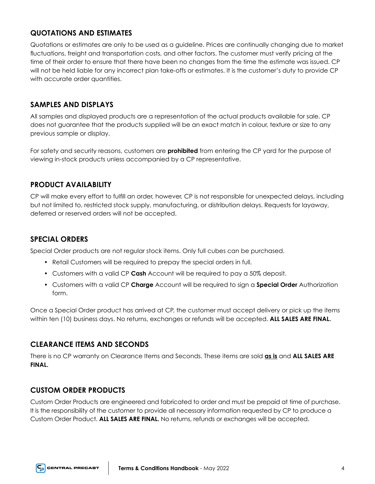## **QUOTATIONS AND ESTIMATES**

Quotations or estimates are only to be used as a guideline. Prices are continually changing due to market fluctuations, freight and transportation costs, and other factors. The customer must verify pricing at the time of their order to ensure that there have been no changes from the time the estimate was issued. CP will not be held liable for any incorrect plan take-offs or estimates. It is the customer's duty to provide CP with accurate order quantities.

## **SAMPLES AND DISPLAYS**

All samples and displayed products are a representation of the actual products available for sale. CP does not guarantee that the products supplied will be an exact match in colour, texture or size to any previous sample or display.

For safety and security reasons, customers are **prohibited** from entering the CP yard for the purpose of viewing in-stock products unless accompanied by a CP representative.

## **PRODUCT AVAILABILITY**

CP will make every effort to fulfill an order, however, CP is not responsible for unexpected delays, including but not limited to, restricted stock supply, manufacturing, or distribution delays. Requests for layaway, deferred or reserved orders will not be accepted.

## **SPECIAL ORDERS**

Special Order products are not regular stock items. Only full cubes can be purchased.

- Retail Customers will be required to prepay the special orders in full.
- Customers with a valid CP **Cash** Account will be required to pay a 50% deposit.
- Customers with a valid CP **Charge** Account will be required to sign a **Special Order** Authorization form.

Once a Special Order product has arrived at CP, the customer must accept delivery or pick up the items within ten (10) business days. No returns, exchanges or refunds will be accepted. **ALL SALES ARE FINAL.**

## **CLEARANCE ITEMS AND SECONDS**

There is no CP warranty on Clearance Items and Seconds. These items are sold **as is** and **ALL SALES ARE FINAL.** 

## **CUSTOM ORDER PRODUCTS**

Custom Order Products are engineered and fabricated to order and must be prepaid at time of purchase. It is the responsibility of the customer to provide all necessary information requested by CP to produce a Custom Order Product. **ALL SALES ARE FINAL.** No returns, refunds or exchanges will be accepted.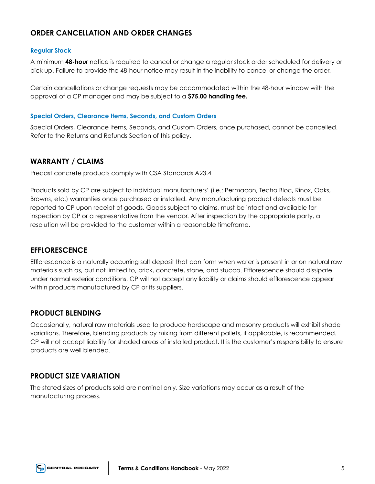## **ORDER CANCELLATION AND ORDER CHANGES**

#### **Regular Stock**

A minimum **48-hour** notice is required to cancel or change a regular stock order scheduled for delivery or pick up. Failure to provide the 48-hour notice may result in the inability to cancel or change the order.

Certain cancellations or change requests may be accommodated within the 48-hour window with the approval of a CP manager and may be subject to a **\$75.00 handling fee.** 

#### **Special Orders, Clearance Items, Seconds, and Custom Orders**

Special Orders, Clearance Items, Seconds, and Custom Orders, once purchased, cannot be cancelled. Refer to the Returns and Refunds Section of this policy.

## **WARRANTY / CLAIMS**

Precast concrete products comply with CSA Standards A23.4

Products sold by CP are subject to individual manufacturers' (i.e.: Permacon, Techo Bloc, Rinox, Oaks, Browns, etc.) warranties once purchased or installed. Any manufacturing product defects must be reported to CP upon receipt of goods. Goods subject to claims, must be intact and available for inspection by CP or a representative from the vendor. After inspection by the appropriate party, a resolution will be provided to the customer within a reasonable timeframe.

## **EFFLORESCENCE**

Efflorescence is a naturally occurring salt deposit that can form when water is present in or on natural raw materials such as, but not limited to, brick, concrete, stone, and stucco. Efflorescence should dissipate under normal exterior conditions. CP will not accept any liability or claims should efflorescence appear within products manufactured by CP or its suppliers.

## **PRODUCT BLENDING**

Occasionally, natural raw materials used to produce hardscape and masonry products will exhibit shade variations. Therefore, blending products by mixing from different pallets, if applicable, is recommended. CP will not accept liability for shaded areas of installed product. It is the customer's responsibility to ensure products are well blended.

## **PRODUCT SIZE VARIATION**

The stated sizes of products sold are nominal only. Size variations may occur as a result of the manufacturing process.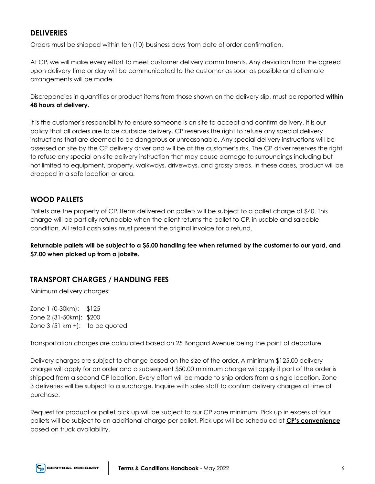## **DELIVERIES**

Orders must be shipped within ten (10) business days from date of order confirmation.

At CP, we will make every effort to meet customer delivery commitments. Any deviation from the agreed upon delivery time or day will be communicated to the customer as soon as possible and alternate arrangements will be made.

Discrepancies in quantities or product items from those shown on the delivery slip, must be reported **within 48 hours of delivery.** 

It is the customer's responsibility to ensure someone is on site to accept and confirm delivery. It is our policy that all orders are to be curbside delivery. CP reserves the right to refuse any special delivery instructions that are deemed to be dangerous or unreasonable. Any special delivery instructions will be assessed on site by the CP delivery driver and will be at the customer's risk. The CP driver reserves the right to refuse any special on-site delivery instruction that may cause damage to surroundings including but not limited to equipment, property, walkways, driveways, and grassy areas. In these cases, product will be dropped in a safe location or area.

## **WOOD PALLETS**

Pallets are the property of CP. Items delivered on pallets will be subject to a pallet charge of \$40. This charge will be partially refundable when the client returns the pallet to CP, in usable and saleable condition. All retail cash sales must present the original invoice for a refund.

**Returnable pallets will be subject to a \$5.00 handling fee when returned by the customer to our yard, and \$7.00 when picked up from a jobsite.** 

## **TRANSPORT CHARGES / HANDLING FEES**

Minimum delivery charges:

Zone 1 (0-30km): \$125 Zone 2 (31-50km): \$200 Zone  $3$  (51 km +): to be quoted

Transportation charges are calculated based on 25 Bongard Avenue being the point of departure.

Delivery charges are subject to change based on the size of the order. A minimum \$125.00 delivery charge will apply for an order and a subsequent \$50.00 minimum charge will apply if part of the order is shipped from a second CP location. Every effort will be made to ship orders from a single location. Zone 3 deliveries will be subject to a surcharge. Inquire with sales staff to confirm delivery charges at time of purchase.

Request for product or pallet pick up will be subject to our CP zone minimum. Pick up in excess of four pallets will be subject to an additional charge per pallet. Pick ups will be scheduled at **CP's convenience** based on truck availability.